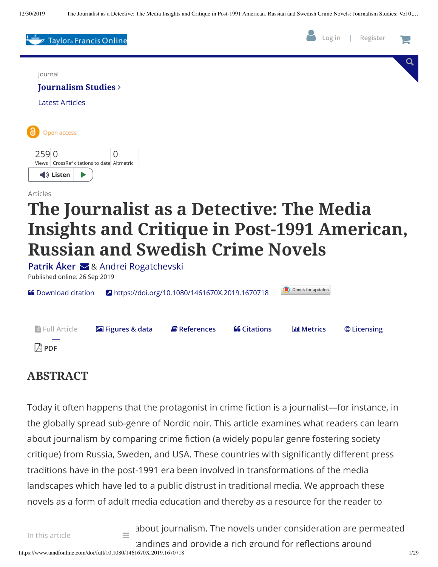

### **ABSTRACT**

Today it often happens that the protagonist in crime fiction is a journalist—for instance, in the globally spread sub-genre of Nordic noir. This article examines what readers can learn about journalism by comparing crime fiction (a widely popular genre fostering society critique) from Russia, Sweden, and USA. These countries with significantly different press traditions have in the post-1991 era been involved in transformations of the media landscapes which have led to a public distrust in traditional media. We approach these novels as a form of adult media education and thereby as a resource for the reader to

about journalism. The novels under consideration are permeated

andings and provide a rich ground for reflections around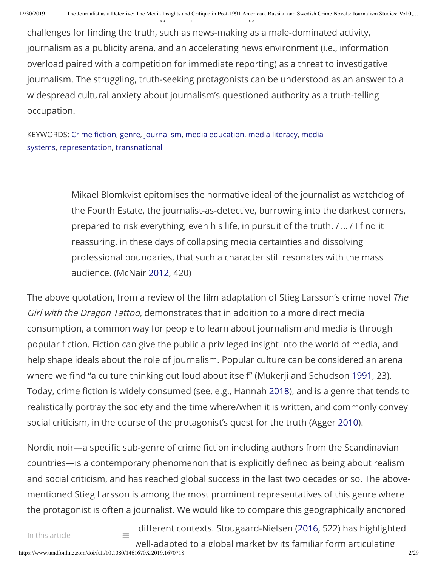challenges for finding the truth, such as news-making as a male-dominated activity, journalism as a publicity arena, and an accelerating news environment (i.e., information overload paired with a competition for immediate reporting) as a threat to investigative journalism. The struggling, truth-seeking protagonists can be understood as an answer to a widespread cultural anxiety about journalism's questioned authority as a truth-telling occupation.

KEYWORDS: Crime fi[ction](https://www.tandfonline.com/keyword/Crime+Fiction), [genre](https://www.tandfonline.com/keyword/Genre), [journalism,](https://www.tandfonline.com/keyword/Journalism) media [education](https://www.tandfonline.com/keyword/Media+Education), media [literacy](https://www.tandfonline.com/keyword/Media+Literacy), media systems, [representation,](https://www.tandfonline.com/keyword/Media+Systems) [transnational](https://www.tandfonline.com/keyword/Transnational)

> Mikael Blomkvist epitomises the normative ideal of the journalist as watchdog of the Fourth Estate, the journalist-as-detective, burrowing into the darkest corners, prepared to risk everything, even his life, in pursuit of the truth. / ... / I find it reassuring, in these days of collapsing media certainties and dissolving professional boundaries, that such a character still resonates with the mass audience. (McNair 2012, 420)

The above quotation, from a review of the film adaptation of Stieg Larsson's crime novel The Girl with the Dragon Tattoo, demonstrates that in addition to a more direct media consumption, a common way for people to learn about journalism and media is through popular fiction. Fiction can give the public a privileged insight into the world of media, and help shape ideals about the role of journalism. Popular culture can be considered an arena where we find "a culture thinking out loud about itself" (Mukerji and Schudson 1991, 23). Today, crime fiction is widely consumed (see, e.g., Hannah 2018), and is a genre that tends to realistically portray the society and the time where/when it is written, and commonly convey social criticism, in the course of the protagonist's quest for the truth (Agger 2010).

Nordic noir—a specific sub-genre of crime fiction including authors from the Scandinavian countries—is a contemporary phenomenon that is explicitly defined as being about realism and social criticism, and has reached global success in the last two decades or so. The abovementioned Stieg Larsson is among the most prominent representatives of this genre where the protagonist is often a journalist. We would like to compare this geographically anchored

 $\equiv$  different contexts. Stougaard-Nielsen (2016, 522) has highlighted well-adapted to a global market by its familiar form articulating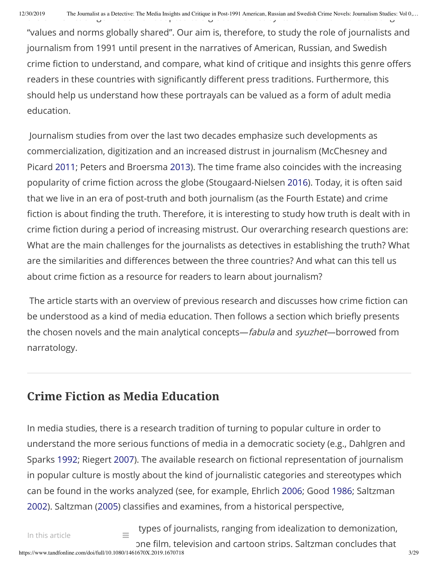"values and norms globally shared". Our aim is, therefore, to study the role of journalists and journalism from 1991 until present in the narratives of American, Russian, and Swedish crime fiction to understand, and compare, what kind of critique and insights this genre offers readers in these countries with significantly different press traditions. Furthermore, this should help us understand how these portrayals can be valued as a form of adult media education.

Journalism studies from over the last two decades emphasize such developments as commercialization, digitization and an increased distrust in journalism (McChesney and Picard 2011; Peters and Broersma 2013). The time frame also coincides with the increasing popularity of crime fiction across the globe (Stougaard-Nielsen 2016). Today, it is often said that we live in an era of post-truth and both journalism (as the Fourth Estate) and crime fiction is about finding the truth. Therefore, it is interesting to study how truth is dealt with in crime fiction during a period of increasing mistrust. Our overarching research questions are: What are the main challenges for the journalists as detectives in establishing the truth? What are the similarities and differences between the three countries? And what can this tell us about crime fiction as a resource for readers to learn about journalism?

The article starts with an overview of previous research and discusses how crime fiction can be understood as a kind of media education. Then follows a section which briefly presents the chosen novels and the main analytical concepts—fabula and syuzhet—borrowed from narratology.

## **Crime Fiction as Media Education**

In media studies, there is a research tradition of turning to popular culture in order to understand the more serious functions of media in a democratic society (e.g., Dahlgren and Sparks 1992; Riegert 2007). The available research on fictional representation of journalism in popular culture is mostly about the kind of journalistic categories and stereotypes which can be found in the works analyzed (see, for example, Ehrlich 2006; Good 1986; Saltzman 2002). Saltzman (2005) classifies and examines, from a historical perspective,

https://www.tandfonline.com/doi/full/10.1080/1461670X.2019.1670718 3/29  $\equiv$  types of journalists, ranging from idealization to demonization, pne film, television and cartoon strips. Saltzman concludes that In this article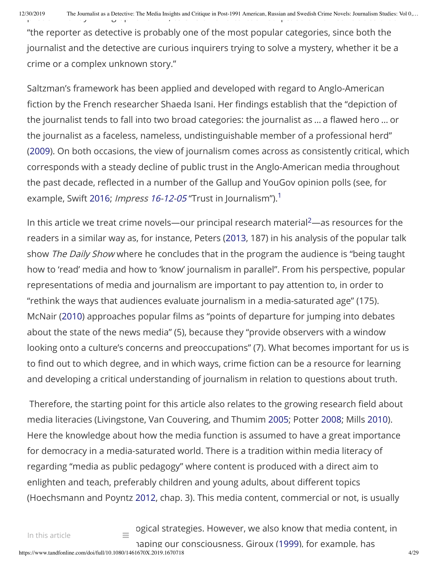"the reporter as detective is probably one of the most popular categories, since both the journalist and the detective are curious inquirers trying to solve a mystery, whether it be a crime or a complex unknown story."

Saltzman's framework has been applied and developed with regard to Anglo-American fiction by the French researcher Shaeda Isani. Her findings establish that the "depiction of the journalist tends to fall into two broad categories: the journalist as ... a flawed hero ... or the journalist as a faceless, nameless, undistinguishable member of a professional herd" (2009). On both occasions, the view of journalism comes across as consistently critical, which corresponds with a steady decline of public trust in the Anglo-American media throughout the past decade, reflected in a number of the Gallup and YouGov opinion polls (see, for example, Swift 2016; *Impress 16-12-05* "Trust in Journalism"). $^1$ 

In this article we treat crime novels—our principal research material<sup>2</sup>—as resources for the readers in a similar way as, for instance, Peters (2013, 187) in his analysis of the popular talk show The Daily Show where he concludes that in the program the audience is "being taught how to 'read' media and how to 'know' journalism in parallel". From his perspective, popular representations of media and journalism are important to pay attention to, in order to "rethink the ways that audiences evaluate journalism in a media-saturated age" (175). McNair (2010) approaches popular films as "points of departure for jumping into debates about the state of the news media" (5), because they "provide observers with a window looking onto a culture's concerns and preoccupations" (7). What becomes important for us is to find out to which degree, and in which ways, crime fiction can be a resource for learning and developing a critical understanding of journalism in relation to questions about truth.

Therefore, the starting point for this article also relates to the growing research field about media literacies (Livingstone, Van Couvering, and Thumim 2005; Potter 2008; Mills 2010). Here the knowledge about how the media function is assumed to have a great importance for democracy in a media-saturated world. There is a tradition within media literacy of regarding "media as public pedagogy" where content is produced with a direct aim to enlighten and teach, preferably children and young adults, about different topics (Hoechsmann and Poyntz 2012, chap. 3). This media content, commercial or not, is usually

 $\equiv$  ogical strategies. However, we also know that media content, in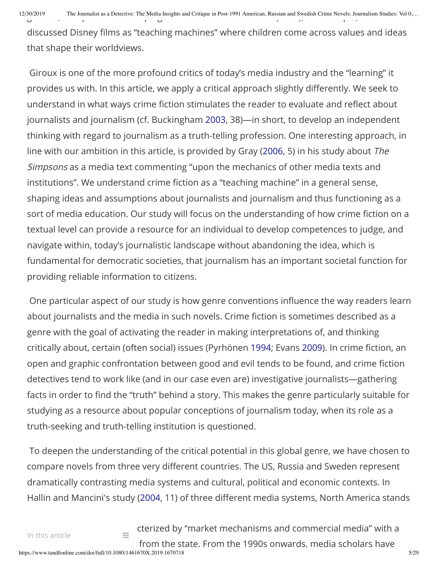12/30/2019 The Journalist as a Detective: The Media Insights and Critique in Post-1991 American, Russian and Swedish Crime Novels: Journalism Studies: Vol 0,...

discussed Disney films as "teaching machines" where children come across values and ideas that shape their worldviews.

Giroux is one of the more profound critics of today's media industry and the "learning" it provides us with. In this article, we apply a critical approach slightly differently. We seek to understand in what ways crime fiction stimulates the reader to evaluate and reflect about journalists and journalism (cf. Buckingham 2003, 38)—in short, to develop an independent thinking with regard to journalism as a truth-telling profession. One interesting approach, in line with our ambition in this article, is provided by Gray (2006, 5) in his study about The Simpsons as a media text commenting "upon the mechanics of other media texts and institutions". We understand crime fiction as a "teaching machine" in a general sense, shaping ideas and assumptions about journalists and journalism and thus functioning as a sort of media education. Our study will focus on the understanding of how crime fiction on a textual level can provide a resource for an individual to develop competences to judge, and navigate within, today's journalistic landscape without abandoning the idea, which is fundamental for democratic societies, that journalism has an important societal function for providing reliable information to citizens.

One particular aspect of our study is how genre conventions influence the way readers learn about journalists and the media in such novels. Crime fiction is sometimes described as a genre with the goal of activating the reader in making interpretations of, and thinking critically about, certain (often social) issues (Pyrhönen 1994; Evans 2009). In crime fiction, an open and graphic confrontation between good and evil tends to be found, and crime fiction detectives tend to work like (and in our case even are) investigative journalists—gathering facts in order to find the "truth" behind a story. This makes the genre particularly suitable for studying as a resource about popular conceptions of journalism today, when its role as a truth-seeking and truth-telling institution is questioned.

To deepen the understanding of the critical potential in this global genre, we have chosen to compare novels from three very different countries. The US, Russia and Sweden represent dramatically contrasting media systems and cultural, political and economic contexts. In Hallin and Mancini's study (2004, 11) of three different media systems, North America stands

https://www.tandfonline.com/doi/full/10.1080/1461670X.2019.1670718 5/29  $f_{\text{eff}}$  cterized by "market mechanisms and commercial media" with a from the state. From the 1990s onwards, media scholars have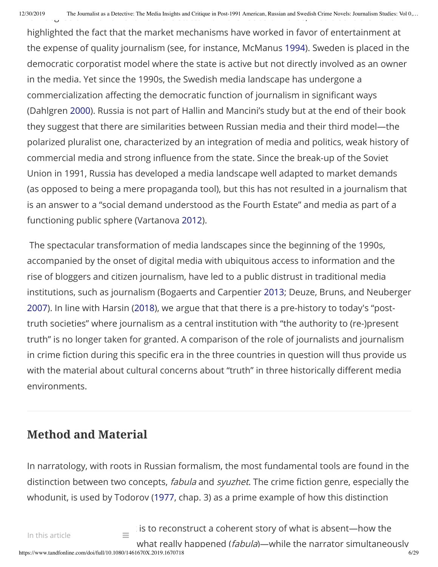highlighted the fact that the market mechanisms have worked in favor of entertainment at the expense of quality journalism (see, for instance, McManus 1994). Sweden is placed in the democratic corporatist model where the state is active but not directly involved as an owner in the media. Yet since the 1990s, the Swedish media landscape has undergone a commercialization affecting the democratic function of journalism in significant ways (Dahlgren 2000). Russia is not part of Hallin and Mancini's study but at the end of their book they suggest that there are similarities between Russian media and their third model—the polarized pluralist one, characterized by an integration of media and politics, weak history of commercial media and strong influence from the state. Since the break-up of the Soviet Union in 1991, Russia has developed a media landscape well adapted to market demands (as opposed to being a mere propaganda tool), but this has not resulted in a journalism that is an answer to a "social demand understood as the Fourth Estate" and media as part of a functioning public sphere (Vartanova 2012).

The spectacular transformation of media landscapes since the beginning of the 1990s, accompanied by the onset of digital media with ubiquitous access to information and the rise of bloggers and citizen journalism, have led to a public distrust in traditional media institutions, such as journalism (Bogaerts and Carpentier 2013; Deuze, Bruns, and Neuberger 2007). In line with Harsin (2018), we argue that that there is a pre-history to today's "posttruth societies" where journalism as a central institution with "the authority to (re-)present truth" is no longer taken for granted. A comparison of the role of journalists and journalism in crime fiction during this specific era in the three countries in question will thus provide us with the material about cultural concerns about "truth" in three historically different media environments.

## **Method and Material**

In narratology, with roots in Russian formalism, the most fundamental tools are found in the distinction between two concepts, *fabula* and *syuzhet*. The crime fiction genre, especially the whodunit, is used by Todorov (1977, chap. 3) as a prime example of how this distinction

 $\alpha$  is to reconstruct a coherent story of what is absent-how the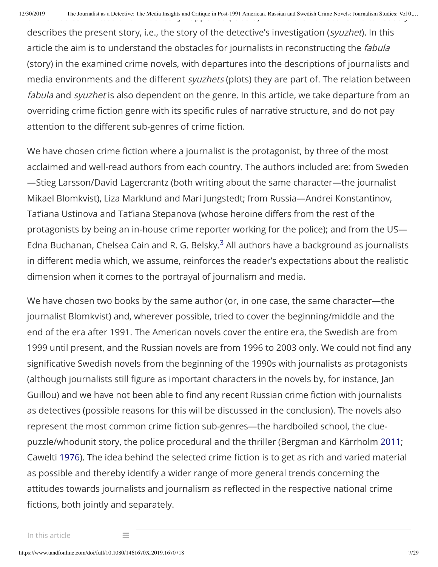describes the present story, i.e., the story of the detective's investigation (syuzhet). In this article the aim is to understand the obstacles for journalists in reconstructing the *fabula* (story) in the examined crime novels, with departures into the descriptions of journalists and media environments and the different syuzhets (plots) they are part of. The relation between fabula and syuzhet is also dependent on the genre. In this article, we take departure from an overriding crime fiction genre with its specific rules of narrative structure, and do not pay attention to the different sub-genres of crime fiction.

We have chosen crime fiction where a journalist is the protagonist, by three of the most acclaimed and well-read authors from each country. The authors included are: from Sweden —Stieg Larsson/David Lagercrantz (both writing about the same character—the journalist Mikael Blomkvist), Liza Marklund and Mari Jungstedt; from Russia—Andrei Konstantinov, Tat'iana Ustinova and Tat'iana Stepanova (whose heroine differs from the rest of the protagonists by being an in-house crime reporter working for the police); and from the US— Edna Buchanan, Chelsea Cain and R. G. Belsky. $^3$  All authors have a background as journalists in different media which, we assume, reinforces the reader's expectations about the realistic dimension when it comes to the portrayal of journalism and media.

We have chosen two books by the same author (or, in one case, the same character—the journalist Blomkvist) and, wherever possible, tried to cover the beginning/middle and the end of the era after 1991. The American novels cover the entire era, the Swedish are from 1999 until present, and the Russian novels are from 1996 to 2003 only. We could not find any significative Swedish novels from the beginning of the 1990s with journalists as protagonists (although journalists still figure as important characters in the novels by, for instance, Jan Guillou) and we have not been able to find any recent Russian crime fiction with journalists as detectives (possible reasons for this will be discussed in the conclusion). The novels also represent the most common crime fiction sub-genres—the hardboiled school, the cluepuzzle/whodunit story, the police procedural and the thriller (Bergman and Kärrholm 2011; Cawelti 1976). The idea behind the selected crime fiction is to get as rich and varied material as possible and thereby identify a wider range of more general trends concerning the attitudes towards journalists and journalism as reflected in the respective national crime fictions, both jointly and separately.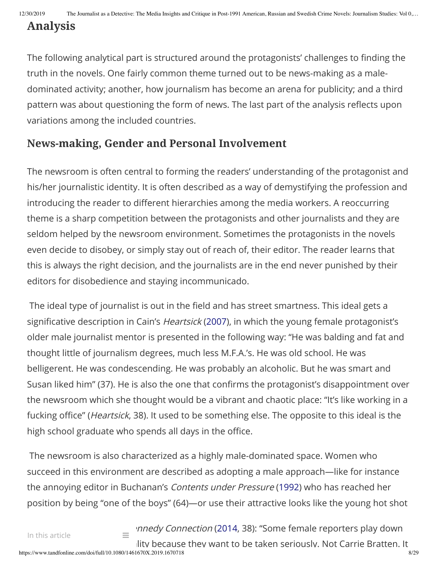# **Analysis**

The following analytical part is structured around the protagonists' challenges to finding the truth in the novels. One fairly common theme turned out to be news-making as a maledominated activity; another, how journalism has become an arena for publicity; and a third pattern was about questioning the form of news. The last part of the analysis reflects upon variations among the included countries.

### **News-making, Gender and Personal Involvement**

The newsroom is often central to forming the readers' understanding of the protagonist and his/her journalistic identity. It is often described as a way of demystifying the profession and introducing the reader to different hierarchies among the media workers. A reoccurring theme is a sharp competition between the protagonists and other journalists and they are seldom helped by the newsroom environment. Sometimes the protagonists in the novels even decide to disobey, or simply stay out of reach of, their editor. The reader learns that this is always the right decision, and the journalists are in the end never punished by their editors for disobedience and staying incommunicado.

The ideal type of journalist is out in the field and has street smartness. This ideal gets a significative description in Cain's *Heartsick* (2007), in which the young female protagonist's older male journalist mentor is presented in the following way: "He was balding and fat and thought little of journalism degrees, much less M.F.A.'s. He was old school. He was belligerent. He was condescending. He was probably an alcoholic. But he was smart and Susan liked him" (37). He is also the one that confirms the protagonist's disappointment over the newsroom which she thought would be a vibrant and chaotic place: "It's like working in a fucking office" (*Heartsick*, 38). It used to be something else. The opposite to this ideal is the high school graduate who spends all days in the office.

The newsroom is also characterized as a highly male-dominated space. Women who succeed in this environment are described as adopting a male approach—like for instance the annoying editor in Buchanan's Contents under Pressure (1992) who has reached her position by being "one of the boys" (64)—or use their attractive looks like the young hot shot

https://www.tandfonline.com/doi/full/10.1080/1461670X.2019.1670718 8/29  $\equiv$  'nnedy Connection (2014, 38): "Some female reporters play down lity because they want to be taken seriously. Not Carrie Bratten. It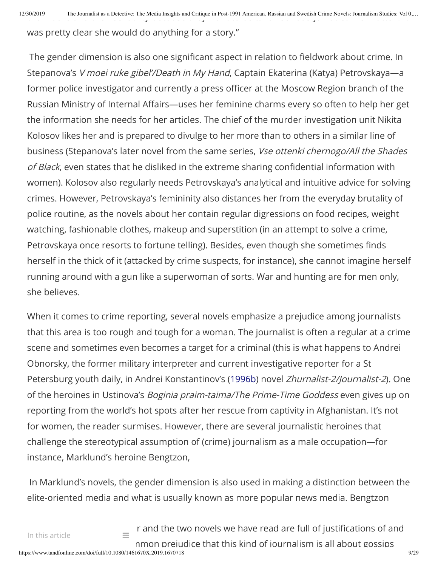$12/30/2019$  The Journalist as a Detective: The Media Insights and Critique in Post-1991 American, Russian and Swedish Crime Novels: Journalism Studies: Vol 0,...

was pretty clear she would do anything for a story."

The gender dimension is also one significant aspect in relation to fieldwork about crime. In Stepanova's V moei ruke gibel'/Death in My Hand, Captain Ekaterina (Katya) Petrovskaya-a former police investigator and currently a press officer at the Moscow Region branch of the Russian Ministry of Internal Affairs—uses her feminine charms every so often to help her get the information she needs for her articles. The chief of the murder investigation unit Nikita Kolosov likes her and is prepared to divulge to her more than to others in a similar line of business (Stepanova's later novel from the same series, Vse ottenki chernogo/All the Shades of Black, even states that he disliked in the extreme sharing confidential information with women). Kolosov also regularly needs Petrovskaya's analytical and intuitive advice for solving crimes. However, Petrovskaya's femininity also distances her from the everyday brutality of police routine, as the novels about her contain regular digressions on food recipes, weight watching, fashionable clothes, makeup and superstition (in an attempt to solve a crime, Petrovskaya once resorts to fortune telling). Besides, even though she sometimes finds herself in the thick of it (attacked by crime suspects, for instance), she cannot imagine herself running around with a gun like a superwoman of sorts. War and hunting are for men only, she believes.

When it comes to crime reporting, several novels emphasize a prejudice among journalists that this area is too rough and tough for a woman. The journalist is often a regular at a crime scene and sometimes even becomes a target for a criminal (this is what happens to Andrei Obnorsky, the former military interpreter and current investigative reporter for a St Petersburg youth daily, in Andrei Konstantinov's (1996b) novel Zhurnalist-2/Journalist-2). One of the heroines in Ustinova's Boginia praim-taima/The Prime-Time Goddess even gives up on reporting from the world's hot spots after her rescue from captivity in Afghanistan. It's not for women, the reader surmises. However, there are several journalistic heroines that challenge the stereotypical assumption of (crime) journalism as a male occupation—for instance, Marklund's heroine Bengtzon,

In Marklund's novels, the gender dimension is also used in making a distinction between the elite-oriented media and what is usually known as more popular news media. Bengtzon

 $\epsilon$  r and the two novels we have read are full of justifications of and

https://www.tandfonline.com/doi/full/10.1080/1461670X.2019.1670718 9/29 nmon prejudice that this kind of journalism is all about gossips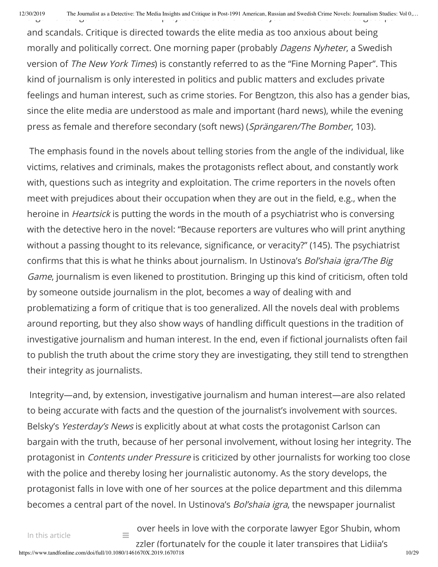and scandals. Critique is directed towards the elite media as too anxious about being morally and politically correct. One morning paper (probably Dagens Nyheter, a Swedish version of The New York Times) is constantly referred to as the "Fine Morning Paper". This kind of journalism is only interested in politics and public matters and excludes private feelings and human interest, such as crime stories. For Bengtzon, this also has a gender bias, since the elite media are understood as male and important (hard news), while the evening press as female and therefore secondary (soft news) (Sprängaren/The Bomber, 103).

The emphasis found in the novels about telling stories from the angle of the individual, like victims, relatives and criminals, makes the protagonists reflect about, and constantly work with, questions such as integrity and exploitation. The crime reporters in the novels often meet with prejudices about their occupation when they are out in the field, e.g., when the heroine in Heartsick is putting the words in the mouth of a psychiatrist who is conversing with the detective hero in the novel: "Because reporters are vultures who will print anything without a passing thought to its relevance, significance, or veracity?" (145). The psychiatrist confirms that this is what he thinks about journalism. In Ustinova's Bol'shaia igra/The Big Game, journalism is even likened to prostitution. Bringing up this kind of criticism, often told by someone outside journalism in the plot, becomes a way of dealing with and problematizing a form of critique that is too generalized. All the novels deal with problems around reporting, but they also show ways of handling difficult questions in the tradition of investigative journalism and human interest. In the end, even if fictional journalists often fail to publish the truth about the crime story they are investigating, they still tend to strengthen their integrity as journalists.

Integrity—and, by extension, investigative journalism and human interest—are also related to being accurate with facts and the question of the journalist's involvement with sources. Belsky's Yesterday's News is explicitly about at what costs the protagonist Carlson can bargain with the truth, because of her personal involvement, without losing her integrity. The protagonist in Contents under Pressure is criticized by other journalists for working too close with the police and thereby losing her journalistic autonomy. As the story develops, the protagonist falls in love with one of her sources at the police department and this dilemma becomes a central part of the novel. In Ustinova's Bol'shaia igra, the newspaper journalist

 $\equiv$  over heels in love with the corporate lawyer Egor Shubin, whom zzler (fortunately for the couple it later transpires that Lidiia's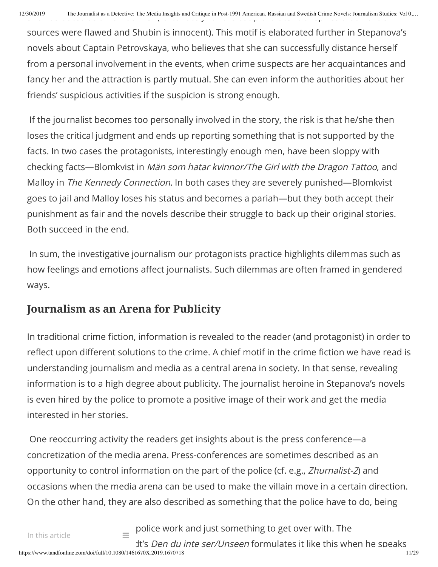sources were flawed and Shubin is innocent). This motif is elaborated further in Stepanova's novels about Captain Petrovskaya, who believes that she can successfully distance herself from a personal involvement in the events, when crime suspects are her acquaintances and fancy her and the attraction is partly mutual. She can even inform the authorities about her friends' suspicious activities if the suspicion is strong enough.

If the journalist becomes too personally involved in the story, the risk is that he/she then loses the critical judgment and ends up reporting something that is not supported by the facts. In two cases the protagonists, interestingly enough men, have been sloppy with checking facts—Blomkvist in Män som hatar kvinnor/The Girl with the Dragon Tattoo, and Malloy in The Kennedy Connection. In both cases they are severely punished—Blomkvist goes to jail and Malloy loses his status and becomes a pariah—but they both accept their punishment as fair and the novels describe their struggle to back up their original stories. Both succeed in the end.

In sum, the investigative journalism our protagonists practice highlights dilemmas such as how feelings and emotions affect journalists. Such dilemmas are often framed in gendered ways.

### **Journalism as an Arena for Publicity**

In traditional crime fiction, information is revealed to the reader (and protagonist) in order to reflect upon different solutions to the crime. A chief motif in the crime fiction we have read is understanding journalism and media as a central arena in society. In that sense, revealing information is to a high degree about publicity. The journalist heroine in Stepanova's novels is even hired by the police to promote a positive image of their work and get the media interested in her stories.

One reoccurring activity the readers get insights about is the press conference—a concretization of the media arena. Press-conferences are sometimes described as an opportunity to control information on the part of the police (cf. e.g., Zhurnalist-2) and occasions when the media arena can be used to make the villain move in a certain direction. On the other hand, they are also described as something that the police have to do, being

 $\equiv$  police work and just something to get over with. The It's Den du inte ser/Unseen formulates it like this when he speaks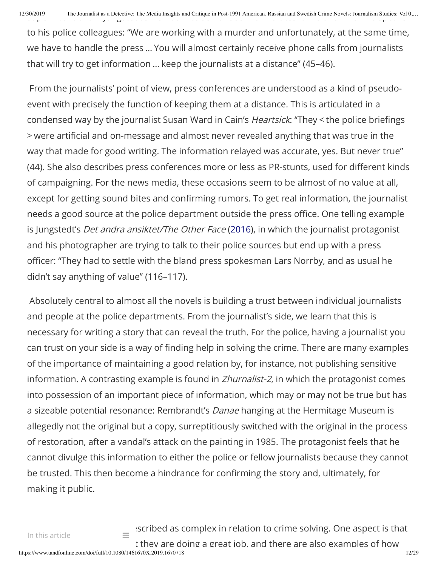12/30/2019 The Journalist as a Detective: The Media Insights and Critique in Post-1991 American, Russian and Swedish Crime Novels: Journalism Studies: Vol 0,...

to his police colleagues: "We are working with a murder and unfortunately, at the same time, we have to handle the press … You will almost certainly receive phone calls from journalists that will try to get information … keep the journalists at a distance" (45–46).

From the journalists' point of view, press conferences are understood as a kind of pseudoevent with precisely the function of keeping them at a distance. This is articulated in a condensed way by the journalist Susan Ward in Cain's Heartsick: "They < the police briefings > were articial and on-message and almost never revealed anything that was true in the way that made for good writing. The information relayed was accurate, yes. But never true" (44). She also describes press conferences more or less as PR-stunts, used for different kinds of campaigning. For the news media, these occasions seem to be almost of no value at all, except for getting sound bites and confirming rumors. To get real information, the journalist needs a good source at the police department outside the press office. One telling example is Jungstedt's Det andra ansiktet/The Other Face (2016), in which the journalist protagonist and his photographer are trying to talk to their police sources but end up with a press officer: "They had to settle with the bland press spokesman Lars Norrby, and as usual he didn't say anything of value" (116–117).

Absolutely central to almost all the novels is building a trust between individual journalists and people at the police departments. From the journalist's side, we learn that this is necessary for writing a story that can reveal the truth. For the police, having a journalist you can trust on your side is a way of finding help in solving the crime. There are many examples of the importance of maintaining a good relation by, for instance, not publishing sensitive information. A contrasting example is found in *Zhurnalist-2*, in which the protagonist comes into possession of an important piece of information, which may or may not be true but has a sizeable potential resonance: Rembrandt's *Danae* hanging at the Hermitage Museum is allegedly not the original but a copy, surreptitiously switched with the original in the process of restoration, after a vandal's attack on the painting in 1985. The protagonist feels that he cannot divulge this information to either the police or fellow journalists because they cannot be trusted. This then become a hindrance for confirming the story and, ultimately, for making it public.

https://www.tandfonline.com/doi/full/10.1080/1461670X.2019.1670718 12/29  $\equiv$  scribed as complex in relation to crime solving. One aspect is that t they are doing a great job, and there are also examples of how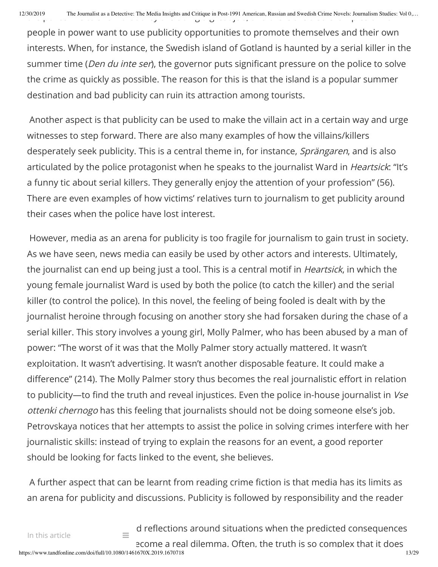people in power want to use publicity opportunities to promote themselves and their own interests. When, for instance, the Swedish island of Gotland is haunted by a serial killer in the summer time (*Den du inte ser*), the governor puts significant pressure on the police to solve the crime as quickly as possible. The reason for this is that the island is a popular summer destination and bad publicity can ruin its attraction among tourists.

Another aspect is that publicity can be used to make the villain act in a certain way and urge witnesses to step forward. There are also many examples of how the villains/killers desperately seek publicity. This is a central theme in, for instance, Sprängaren, and is also articulated by the police protagonist when he speaks to the journalist Ward in *Heartsick*: "It's a funny tic about serial killers. They generally enjoy the attention of your profession" (56). There are even examples of how victims' relatives turn to journalism to get publicity around their cases when the police have lost interest.

However, media as an arena for publicity is too fragile for journalism to gain trust in society. As we have seen, news media can easily be used by other actors and interests. Ultimately, the journalist can end up being just a tool. This is a central motif in *Heartsick*, in which the young female journalist Ward is used by both the police (to catch the killer) and the serial killer (to control the police). In this novel, the feeling of being fooled is dealt with by the journalist heroine through focusing on another story she had forsaken during the chase of a serial killer. This story involves a young girl, Molly Palmer, who has been abused by a man of power: "The worst of it was that the Molly Palmer story actually mattered. It wasn't exploitation. It wasn't advertising. It wasn't another disposable feature. It could make a difference" (214). The Molly Palmer story thus becomes the real journalistic effort in relation to publicity—to find the truth and reveal injustices. Even the police in-house journalist in Vse ottenki chernogo has this feeling that journalists should not be doing someone else's job. Petrovskaya notices that her attempts to assist the police in solving crimes interfere with her journalistic skills: instead of trying to explain the reasons for an event, a good reporter should be looking for facts linked to the event, she believes.

A further aspect that can be learnt from reading crime fiction is that media has its limits as an arena for publicity and discussions. Publicity is followed by responsibility and the reader

 $\equiv$  d reflections around situations when the predicted consequences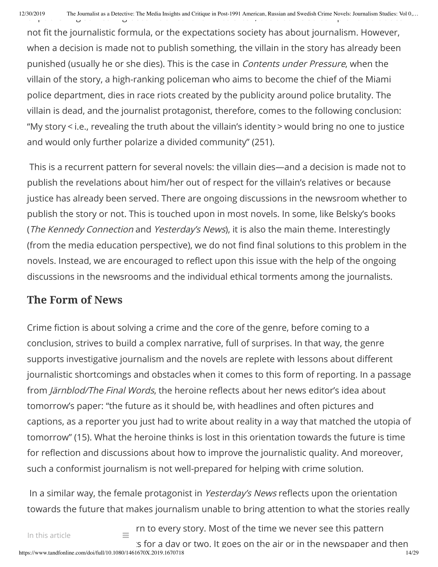not fit the journalistic formula, or the expectations society has about journalism. However, when a decision is made not to publish something, the villain in the story has already been punished (usually he or she dies). This is the case in Contents under Pressure, when the villain of the story, a high-ranking policeman who aims to become the chief of the Miami police department, dies in race riots created by the publicity around police brutality. The villain is dead, and the journalist protagonist, therefore, comes to the following conclusion: "My story < i.e., revealing the truth about the villain's identity > would bring no one to justice and would only further polarize a divided community" (251).

This is a recurrent pattern for several novels: the villain dies—and a decision is made not to publish the revelations about him/her out of respect for the villain's relatives or because justice has already been served. There are ongoing discussions in the newsroom whether to publish the story or not. This is touched upon in most novels. In some, like Belsky's books (The Kennedy Connection and Yesterday's News), it is also the main theme. Interestingly (from the media education perspective), we do not find final solutions to this problem in the novels. Instead, we are encouraged to reflect upon this issue with the help of the ongoing discussions in the newsrooms and the individual ethical torments among the journalists.

### **The Form of News**

Crime fiction is about solving a crime and the core of the genre, before coming to a conclusion, strives to build a complex narrative, full of surprises. In that way, the genre supports investigative journalism and the novels are replete with lessons about different journalistic shortcomings and obstacles when it comes to this form of reporting. In a passage from Järnblod/The Final Words, the heroine reflects about her news editor's idea about tomorrow's paper: "the future as it should be, with headlines and often pictures and captions, as a reporter you just had to write about reality in a way that matched the utopia of tomorrow" (15). What the heroine thinks is lost in this orientation towards the future is time for reflection and discussions about how to improve the journalistic quality. And moreover, such a conformist journalism is not well-prepared for helping with crime solution.

In a similar way, the female protagonist in Yesterday's News reflects upon the orientation towards the future that makes journalism unable to bring attention to what the stories really

 $\equiv$  rn to every story. Most of the time we never see this pattern  $\mathbf s$  for a day or two. It goes on the air or in the newspaper and then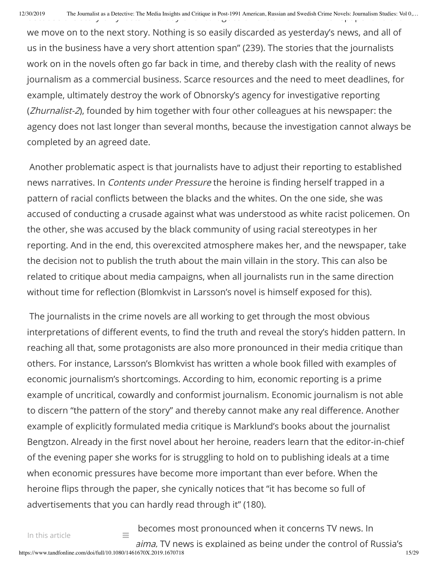we move on to the next story. Nothing is so easily discarded as yesterday's news, and all of us in the business have a very short attention span" (239). The stories that the journalists work on in the novels often go far back in time, and thereby clash with the reality of news journalism as a commercial business. Scarce resources and the need to meet deadlines, for example, ultimately destroy the work of Obnorsky's agency for investigative reporting (Zhurnalist-2), founded by him together with four other colleagues at his newspaper: the agency does not last longer than several months, because the investigation cannot always be completed by an agreed date.

Another problematic aspect is that journalists have to adjust their reporting to established news narratives. In *Contents under Pressure* the heroine is finding herself trapped in a pattern of racial conflicts between the blacks and the whites. On the one side, she was accused of conducting a crusade against what was understood as white racist policemen. On the other, she was accused by the black community of using racial stereotypes in her reporting. And in the end, this overexcited atmosphere makes her, and the newspaper, take the decision not to publish the truth about the main villain in the story. This can also be related to critique about media campaigns, when all journalists run in the same direction without time for reflection (Blomkvist in Larsson's novel is himself exposed for this).

The journalists in the crime novels are all working to get through the most obvious interpretations of different events, to find the truth and reveal the story's hidden pattern. In reaching all that, some protagonists are also more pronounced in their media critique than others. For instance, Larsson's Blomkvist has written a whole book filled with examples of economic journalism's shortcomings. According to him, economic reporting is a prime example of uncritical, cowardly and conformist journalism. Economic journalism is not able to discern "the pattern of the story" and thereby cannot make any real difference. Another example of explicitly formulated media critique is Marklund's books about the journalist Bengtzon. Already in the first novel about her heroine, readers learn that the editor-in-chief of the evening paper she works for is struggling to hold on to publishing ideals at a time when economic pressures have become more important than ever before. When the heroine flips through the paper, she cynically notices that "it has become so full of advertisements that you can hardly read through it" (180).

https://www.tandfonline.com/doi/full/10.1080/1461670X.2019.1670718 15/29  $\equiv$  becomes most pronounced when it concerns TV news. In aima. TV news is explained as being under the control of Russia's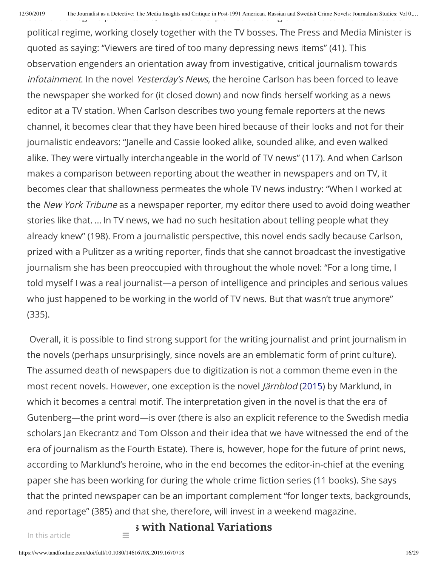political regime, working closely together with the TV bosses. The Press and Media Minister is quoted as saying: "Viewers are tired of too many depressing news items" (41). This observation engenders an orientation away from investigative, critical journalism towards infotainment. In the novel Yesterday's News, the heroine Carlson has been forced to leave the newspaper she worked for (it closed down) and now finds herself working as a news editor at a TV station. When Carlson describes two young female reporters at the news channel, it becomes clear that they have been hired because of their looks and not for their journalistic endeavors: "Janelle and Cassie looked alike, sounded alike, and even walked alike. They were virtually interchangeable in the world of TV news" (117). And when Carlson makes a comparison between reporting about the weather in newspapers and on TV, it becomes clear that shallowness permeates the whole TV news industry: "When I worked at the New York Tribune as a newspaper reporter, my editor there used to avoid doing weather stories like that. … In TV news, we had no such hesitation about telling people what they already knew" (198). From a journalistic perspective, this novel ends sadly because Carlson, prized with a Pulitzer as a writing reporter, finds that she cannot broadcast the investigative journalism she has been preoccupied with throughout the whole novel: "For a long time, I told myself I was a real journalist—a person of intelligence and principles and serious values who just happened to be working in the world of TV news. But that wasn't true anymore" (335).

Overall, it is possible to find strong support for the writing journalist and print journalism in the novels (perhaps unsurprisingly, since novels are an emblematic form of print culture). The assumed death of newspapers due to digitization is not a common theme even in the most recent novels. However, one exception is the novel *Järnblod* (2015) by Marklund, in which it becomes a central motif. The interpretation given in the novel is that the era of Gutenberg—the print word—is over (there is also an explicit reference to the Swedish media scholars Jan Ekecrantz and Tom Olsson and their idea that we have witnessed the end of the era of journalism as the Fourth Estate). There is, however, hope for the future of print news, according to Marklund's heroine, who in the end becomes the editor-in-chief at the evening paper she has been working for during the whole crime fiction series (11 books). She says that the printed newspaper can be an important complement "for longer texts, backgrounds, and reportage" (385) and that she, therefore, will invest in a weekend magazine.

 $\equiv$  **S** with National Variations

In this article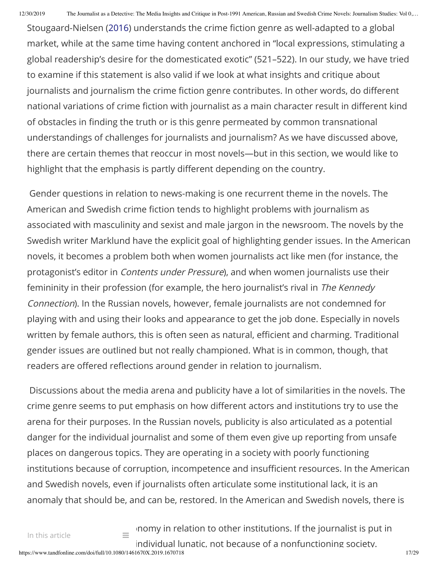Stougaard-Nielsen (2016) understands the crime fiction genre as well-adapted to a global market, while at the same time having content anchored in "local expressions, stimulating a global readership's desire for the domesticated exotic" (521–522). In our study, we have tried to examine if this statement is also valid if we look at what insights and critique about journalists and journalism the crime fiction genre contributes. In other words, do different national variations of crime fiction with journalist as a main character result in different kind of obstacles in finding the truth or is this genre permeated by common transnational understandings of challenges for journalists and journalism? As we have discussed above, there are certain themes that reoccur in most novels—but in this section, we would like to highlight that the emphasis is partly different depending on the country.

Gender questions in relation to news-making is one recurrent theme in the novels. The American and Swedish crime fiction tends to highlight problems with journalism as associated with masculinity and sexist and male jargon in the newsroom. The novels by the Swedish writer Marklund have the explicit goal of highlighting gender issues. In the American novels, it becomes a problem both when women journalists act like men (for instance, the protagonist's editor in Contents under Pressure), and when women journalists use their femininity in their profession (for example, the hero journalist's rival in The Kennedy Connection). In the Russian novels, however, female journalists are not condemned for playing with and using their looks and appearance to get the job done. Especially in novels written by female authors, this is often seen as natural, efficient and charming. Traditional gender issues are outlined but not really championed. What is in common, though, that readers are offered reflections around gender in relation to journalism.

Discussions about the media arena and publicity have a lot of similarities in the novels. The crime genre seems to put emphasis on how different actors and institutions try to use the arena for their purposes. In the Russian novels, publicity is also articulated as a potential danger for the individual journalist and some of them even give up reporting from unsafe places on dangerous topics. They are operating in a society with poorly functioning institutions because of corruption, incompetence and insufficient resources. In the American and Swedish novels, even if journalists often articulate some institutional lack, it is an anomaly that should be, and can be, restored. In the American and Swedish novels, there is

 $\equiv$  nomy in relation to other institutions. If the journalist is put in individual lunatic, not because of a nonfunctioning society.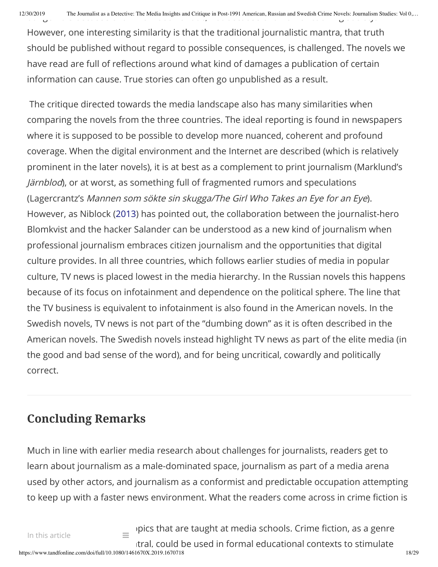However, one interesting similarity is that the traditional journalistic mantra, that truth should be published without regard to possible consequences, is challenged. The novels we have read are full of reflections around what kind of damages a publication of certain information can cause. True stories can often go unpublished as a result.

The critique directed towards the media landscape also has many similarities when comparing the novels from the three countries. The ideal reporting is found in newspapers where it is supposed to be possible to develop more nuanced, coherent and profound coverage. When the digital environment and the Internet are described (which is relatively prominent in the later novels), it is at best as a complement to print journalism (Marklund's Järnblod), or at worst, as something full of fragmented rumors and speculations (Lagercrantz's Mannen som sökte sin skugga/The Girl Who Takes an Eye for an Eye). However, as Niblock (2013) has pointed out, the collaboration between the journalist-hero Blomkvist and the hacker Salander can be understood as a new kind of journalism when professional journalism embraces citizen journalism and the opportunities that digital culture provides. In all three countries, which follows earlier studies of media in popular culture, TV news is placed lowest in the media hierarchy. In the Russian novels this happens because of its focus on infotainment and dependence on the political sphere. The line that the TV business is equivalent to infotainment is also found in the American novels. In the Swedish novels, TV news is not part of the "dumbing down" as it is often described in the American novels. The Swedish novels instead highlight TV news as part of the elite media (in the good and bad sense of the word), and for being uncritical, cowardly and politically correct.

## **Concluding Remarks**

Much in line with earlier media research about challenges for journalists, readers get to learn about journalism as a male-dominated space, journalism as part of a media arena used by other actors, and journalism as a conformist and predictable occupation attempting to keep up with a faster news environment. What the readers come across in crime fiction is

https://www.tandfonline.com/doi/full/10.1080/1461670X.2019.1670718 18/29  $s_{\text{in}}$  pics that are taught at media schools. Crime fiction, as a genre tral, could be used in formal educational contexts to stimulate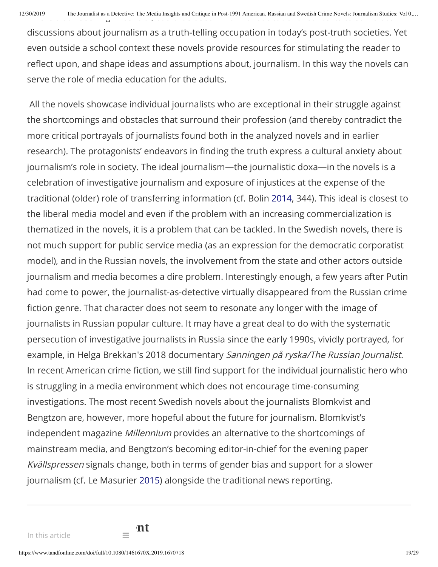discussions about journalism as a truth-telling occupation in today's post-truth societies. Yet even outside a school context these novels provide resources for stimulating the reader to reflect upon, and shape ideas and assumptions about, journalism. In this way the novels can serve the role of media education for the adults.

All the novels showcase individual journalists who are exceptional in their struggle against the shortcomings and obstacles that surround their profession (and thereby contradict the more critical portrayals of journalists found both in the analyzed novels and in earlier research). The protagonists' endeavors in finding the truth express a cultural anxiety about journalism's role in society. The ideal journalism—the journalistic doxa—in the novels is a celebration of investigative journalism and exposure of injustices at the expense of the traditional (older) role of transferring information (cf. Bolin 2014, 344). This ideal is closest to the liberal media model and even if the problem with an increasing commercialization is thematized in the novels, it is a problem that can be tackled. In the Swedish novels, there is not much support for public service media (as an expression for the democratic corporatist model), and in the Russian novels, the involvement from the state and other actors outside journalism and media becomes a dire problem. Interestingly enough, a few years after Putin had come to power, the journalist-as-detective virtually disappeared from the Russian crime fiction genre. That character does not seem to resonate any longer with the image of journalists in Russian popular culture. It may have a great deal to do with the systematic persecution of investigative journalists in Russia since the early 1990s, vividly portrayed, for example, in Helga Brekkan's 2018 documentary Sanningen på ryska/The Russian Journalist. In recent American crime fiction, we still find support for the individual journalistic hero who is struggling in a media environment which does not encourage time-consuming investigations. The most recent Swedish novels about the journalists Blomkvist and Bengtzon are, however, more hopeful about the future for journalism. Blomkvist's independent magazine Millennium provides an alternative to the shortcomings of mainstream media, and Bengtzon's becoming editor-in-chief for the evening paper Kvällspressen signals change, both in terms of gender bias and support for a slower journalism (cf. Le Masurier 2015) alongside the traditional news reporting.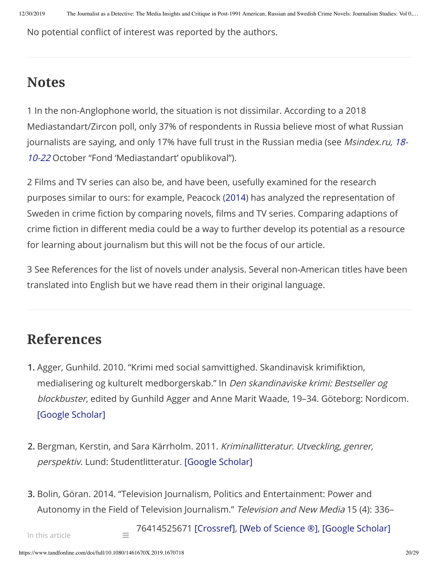No potential conflict of interest was reported by the authors.

## **Notes**

1 In the non-Anglophone world, the situation is not dissimilar. According to a 2018 Mediastandart/Zircon poll, only 37% of respondents in Russia believe most of what Russian journalists are saying, and only 17% have full trust in the Russian media (see Msindex.ru, 18-10-22 October "Fond 'Mediastandart' opublikoval").

2 Films and TV series can also be, and have been, usefully examined for the research purposes similar to ours: for example, Peacock (2014) has analyzed the representation of Sweden in crime fiction by comparing novels, films and TV series. Comparing adaptions of crime fiction in different media could be a way to further develop its potential as a resource for learning about journalism but this will not be the focus of our article.

3 See References for the list of novels under analysis. Several non-American titles have been translated into English but we have read them in their original language.

## **References**

- **1.** Agger, Gunhild. 2010. "Krimi med social samvittighed. Skandinavisk krimiktion, medialisering og kulturelt medborgerskab." In Den skandinaviske krimi: Bestseller og blockbuster, edited by Gunhild Agger and Anne Marit Waade, 19–34. Göteborg: Nordicom. [Google [Scholar\]](http://scholar.google.com/scholar_lookup?hl=en&publication_year=2010&pages=19-34&author=Gunhild.+Agger&title=Den+skandinaviske+krimi%3A+Bestseller+og+blockbuster)
- **2.** Bergman, Kerstin, and Sara Kärrholm. 2011. Kriminallitteratur. Utveckling, genrer, perspektiv. Lund: Studentlitteratur. [Google [Scholar\]](http://scholar.google.com/scholar_lookup?hl=en&publication_year=2011&author=Kerstin+Bergman&author=Sara+K%C3%A4rrholm&title=Kriminallitteratur.+Utveckling%2C+genrer%2C+perspektiv)
- **3.** Bolin, Göran. 2014. "Television Journalism, Politics and Entertainment: Power and Autonomy in the Field of Television Journalism." Television and New Media 15 (4): 336–

76414525671 [\[Crossref\],](https://www.tandfonline.com/servlet/linkout?suffix=CIT0003&dbid=16&doi=10.1080%2F1461670X.2019.1670718&key=10.1177%2F1527476414525671) [\[Web of](https://www.tandfonline.com/servlet/linkout?suffix=CIT0003&dbid=128&doi=10.1080%2F1461670X.2019.1670718&key=000333980100005) Science ®], [Google [Scholar\]](http://scholar.google.com/scholar_lookup?hl=en&publication_year=2014&pages=336-349&issue=4&author=G%C3%B6ran.+Bolin&title=Television+Journalism%2C+Politics+and+Entertainment%3A+Power+and+Autonomy+in+the+Field+of+Television+Journalism)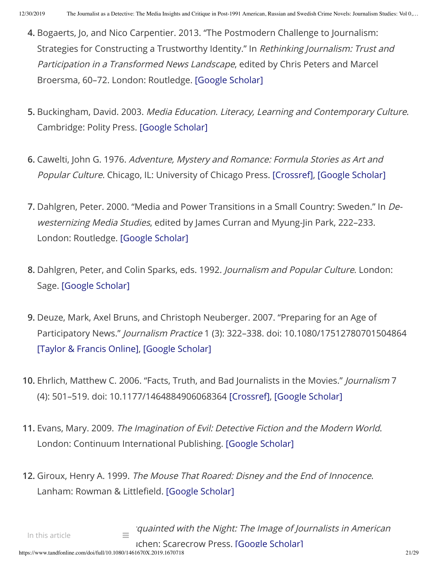- **4.** Bogaerts, Jo, and Nico Carpentier. 2013. "The Postmodern Challenge to Journalism: Strategies for Constructing a Trustworthy Identity." In Rethinking Journalism: Trust and Participation in <sup>a</sup> Transformed News Landscape, edited by Chris Peters and Marcel Broersma, 60–72. London: Routledge. [Google [Scholar\]](http://scholar.google.com/scholar_lookup?hl=en&publication_year=2013&pages=60-72&author=Jo+Bogaerts&author=Nico+Carpentier&title=Rethinking+Journalism%3A+Trust+and+Participation+in+a+Transformed+News+Landscape)
- **5.** Buckingham, David. 2003. Media Education. Literacy, Learning and Contemporary Culture. Cambridge: Polity Press. [Google [Scholar\]](http://scholar.google.com/scholar_lookup?hl=en&publication_year=2003&author=David.+Buckingham&title=Media+Education.+Literacy%2C+Learning+and+Contemporary+Culture)
- **6.** Cawelti, John G. 1976. Adventure, Mystery and Romance: Formula Stories as Art and Popular Culture. Chicago, IL: University of Chicago Press. [\[Crossref\]](https://www.tandfonline.com/servlet/linkout?suffix=CIT0006&dbid=16&doi=10.1080%2F1461670X.2019.1670718&key=10.7208%2Fchicago%2F9780226148700.001.0001), [Google [Scholar\]](http://scholar.google.com/scholar_lookup?hl=en&publication_year=1976&author=John+G.+Cawelti&title=Adventure%2C+Mystery+and+Romance%3A+Formula+Stories+as+Art+and+Popular+Culture)
- **7.** Dahlgren, Peter. 2000. "Media and Power Transitions in a Small Country: Sweden." In Dewesternizing Media Studies, edited by James Curran and Myung-Jin Park, 222-233. London: Routledge. [Google [Scholar\]](http://scholar.google.com/scholar_lookup?hl=en&publication_year=2000&pages=222-233&author=Peter.+Dahlgren&title=De-westernizing+Media+Studies)
- **8.** Dahlgren, Peter, and Colin Sparks, eds. 1992. Journalism and Popular Culture. London: Sage. [Google [Scholar\]](http://scholar.google.com/scholar_lookup?hl=en&publication_year=1992&author=Peter+Dahlgren&author=Colin+Sparks&title=Journalism+and+Popular+Culture)
- **9.** Deuze, Mark, Axel Bruns, and Christoph Neuberger. 2007. "Preparing for an Age of Participatory News." Journalism Practice 1 (3): 322–338. doi: 10.1080/17512780701504864 [Taylor [& Francis](https://www.tandfonline.com/servlet/linkout?suffix=CIT0009&dbid=20&doi=10.1080%2F1461670X.2019.1670718&key=10.1080%2F17512780701504864&tollfreelink=2_18_16985dd6933781ca5bc062a81400d939d0a5c05f16a3ac178bfdcf626ae55dbe) Online], [Google [Scholar\]](http://scholar.google.com/scholar_lookup?hl=en&publication_year=2007&pages=322-338&issue=3&author=Mark+Deuze&author=Axel+Bruns&author=Christoph+Neuberger&title=Preparing+for+an+Age+of+Participatory+News)
- **10.** Ehrlich, Matthew C. 2006. "Facts, Truth, and Bad Journalists in the Movies." Journalism 7 (4): 501–519. doi: 10.1177/1464884906068364 [\[Crossref\]](https://www.tandfonline.com/servlet/linkout?suffix=CIT0010&dbid=16&doi=10.1080%2F1461670X.2019.1670718&key=10.1177%2F1464884906068364), [Google [Scholar\]](http://scholar.google.com/scholar_lookup?hl=en&publication_year=2006&pages=501-519&issue=4&author=Matthew+C.+Ehrlich&title=Facts%2C+Truth%2C+and+Bad+Journalists+in+the+Movies)
- **11.** Evans, Mary. 2009. The Imagination of Evil: Detective Fiction and the Modern World. London: Continuum International Publishing. [Google [Scholar\]](http://scholar.google.com/scholar_lookup?hl=en&publication_year=2009&author=Mary.+Evans&title=The+Imagination+of+Evil%3A+Detective+Fiction+and+the+Modern+World)
- **12.** Giroux, Henry A. 1999. The Mouse That Roared: Disney and the End of Innocence. Lanham: Rowman & Littlefield. [Google [Scholar\]](http://scholar.google.com/scholar_lookup?hl=en&publication_year=1999&author=Henry+A.+Giroux&title=The+Mouse+That+Roared%3A+Disney+and+the+End+of+Innocence)

https://www.tandfonline.com/doi/full/10.1080/1461670X.2019.1670718 21/29  $\equiv$  iquainted with the Night: The Image of Journalists in American Ichen: Scarecrow Press. [Google [Scholar\]](http://scholar.google.com/scholar_lookup?hl=en&publication_year=1986&author=Howard.+Good&title=Acquainted+with+the+Night%3A+The+Image+of+Journalists+in+American+Fiction+1890%E2%80%931930) In this article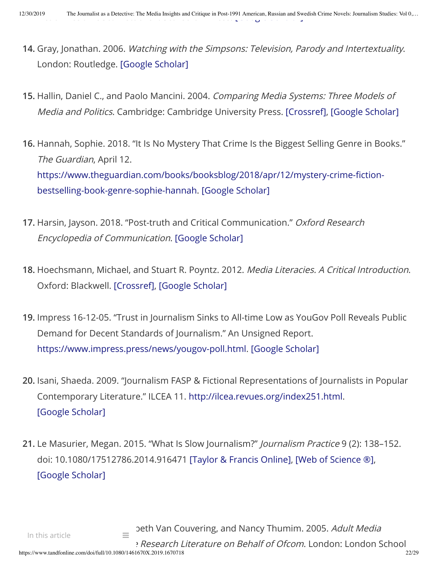- **14.** Gray, Jonathan. 2006. Watching with the Simpsons: Television, Parody and Intertextuality. London: Routledge. [Google [Scholar\]](http://scholar.google.com/scholar_lookup?hl=en&publication_year=2006&author=Jonathan.+Gray&title=Watching+with+the+Simpsons%3A+Television%2C+Parody+and+Intertextuality)
- **15.** Hallin, Daniel C., and Paolo Mancini. 2004. Comparing Media Systems: Three Models of Media and Politics. Cambridge: Cambridge University Press. [\[Crossref\]](https://www.tandfonline.com/servlet/linkout?suffix=CIT0014&dbid=16&doi=10.1080%2F1461670X.2019.1670718&key=10.1017%2FCBO9780511790867), [Google [Scholar\]](http://scholar.google.com/scholar_lookup?hl=en&publication_year=2004&author=Daniel+C.+Hallin&author=Paolo+Mancini&title=Comparing+Media+Systems%3A+Three+Models+of+Media+and+Politics)
- **16.** Hannah, Sophie. 2018. "It Is No Mystery That Crime Is the Biggest Selling Genre in Books." The Guardian, April 12. https://www.theguardian.com/books/booksblog/2018/apr/12/mystery-crime-fictionbestselling-book-genre-sophie-hannah. [Google [Scholar\]](http://scholar.google.com/scholar?hl=en&q=Hannah%2C+Sophie.+2018.+%E2%80%9CIt+Is+No+Mystery+That+Crime+Is+the+Biggest+Selling+Genre+in+Books.%E2%80%9D+The+Guardian%2C+April+12.+https%3A%2F%2Fwww.theguardian.com%2Fbooks%2Fbooksblog%2F2018%2Fapr%2F12%2Fmystery-crime-fiction-bestselling-book-genre-sophie-hannah.)
- **17.** Harsin, Jayson. 2018. "Post-truth and Critical Communication." Oxford Research Encyclopedia of Communication. [Google [Scholar\]](http://scholar.google.com/scholar?hl=en&q=Harsin%2C+Jayson.+2018.+%E2%80%9CPost-truth+and+Critical+Communication.%E2%80%9D+Oxford+Research+Encyclopedia+of+Communication.)
- **18.** Hoechsmann, Michael, and Stuart R. Poyntz. 2012. Media Literacies. A Critical Introduction. Oxford: Blackwell. [\[Crossref\],](https://www.tandfonline.com/servlet/linkout?suffix=CIT0017&dbid=16&doi=10.1080%2F1461670X.2019.1670718&key=10.1002%2F9781444344158) [Google [Scholar\]](http://scholar.google.com/scholar_lookup?hl=en&publication_year=2012&author=Michael+Hoechsmann&author=Stuart+R.+Poyntz&title=Media+Literacies.+A+Critical+Introduction)
- **19.** Impress 16-12-05. "Trust in Journalism Sinks to All-time Low as YouGov Poll Reveals Public Demand for Decent Standards of Journalism." An Unsigned Report. <https://www.impress.press/news/yougov-poll.html>. [Google [Scholar\]](http://scholar.google.com/scholar?hl=en&q=Impress+16-12-05.+%E2%80%9CTrust+in+Journalism+Sinks+to+All-time+Low+as+YouGov+Poll+Reveals+Public+Demand+for+Decent+Standards+of+Journalism.%E2%80%9D+An+Unsigned+Report.+https%3A%2F%2Fwww.impress.press%2Fnews%2Fyougov-poll.html.)
- **20.** Isani, Shaeda. 2009. "Journalism FASP & Fictional Representations of Journalists in Popular Contemporary Literature." ILCEA 11. [http://ilcea.revues.org/index251.html.](http://ilcea.revues.org/index251.html) [Google [Scholar\]](http://scholar.google.com/scholar?hl=en&q=Isani%2C+Shaeda.+2009.+%E2%80%9CJournalism+FASP+%26+Fictional+Representations+of+Journalists+in+Popular+Contemporary+Literature.%E2%80%9D+ILCEA+11.+http%3A%2F%2Filcea.revues.org%2Findex251.html.)
- **21.** Le Masurier, Megan. 2015. "What Is Slow Journalism?" Journalism Practice 9 (2): 138–152. doi: 10.1080/17512786.2014.916471 [Taylor [& Francis](https://www.tandfonline.com/servlet/linkout?suffix=CIT0020&dbid=20&doi=10.1080%2F1461670X.2019.1670718&key=10.1080%2F17512786.2014.916471&tollfreelink=2_18_958294465287e9ef8e9d890c2dc62a3328e0fcb456f0b2b16fdd68eeb57af99a) Online], [\[Web of](https://www.tandfonline.com/servlet/linkout?suffix=CIT0020&dbid=128&doi=10.1080%2F1461670X.2019.1670718&key=000214554100002) Science ®], [Google [Scholar\]](http://scholar.google.com/scholar_lookup?hl=en&publication_year=2015&pages=138-152&issue=2&author=Megan.+Le+Masurier&title=What+Is+Slow+Journalism%3F)

P. Research Literature on Behalf of Ofcom. London: London School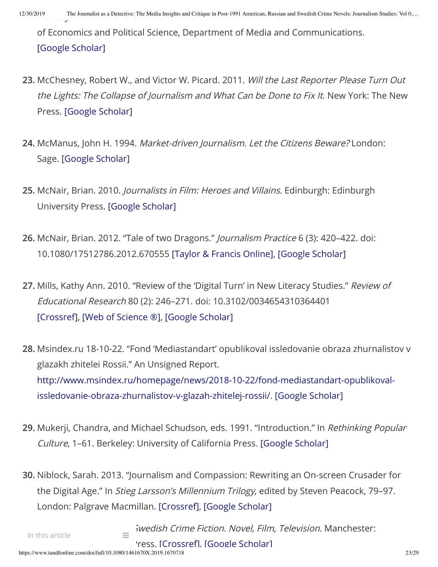of Economics and Political Science, Department of Media and Communications. [Google [Scholar\]](http://scholar.google.com/scholar_lookup?hl=en&publication_year=2005&author=Sonia+Livingstone&author=Elisabeth+Van+Couvering&author=Nancy+Thumim&title=Adult+Media+Literacy.+A+Review+of+the+Research+Literature+on+Behalf+of+Ofcom)

- **23.** McChesney, Robert W., and Victor W. Picard. 2011. Will the Last Reporter Please Turn Out the Lights: The Collapse of Journalism and What Can be Done to Fix It. New York: The New Press. [Google [Scholar\]](http://scholar.google.com/scholar_lookup?hl=en&publication_year=2011&author=Robert+W.+McChesney&author=Victor+W.+Picard&title=Will+the+Last+Reporter+Please+Turn+Out+the+Lights%3A+The+Collapse+of+Journalism+and+What+Can+be+Done+to+Fix+It)
- **24.** McManus, John H. 1994. Market-driven Journalism. Let the Citizens Beware? London: Sage. [Google [Scholar\]](http://scholar.google.com/scholar_lookup?hl=en&publication_year=1994&author=John+H.+McManus&title=Market-driven+Journalism.+Let+the+Citizens+Beware%3F)
- **25.** McNair, Brian. 2010. Journalists in Film: Heroes and Villains. Edinburgh: Edinburgh University Press. [Google [Scholar\]](http://scholar.google.com/scholar_lookup?hl=en&publication_year=2010&author=Brian.+McNair&title=Journalists+in+Film%3A+Heroes+and+Villains)
- **26.** McNair, Brian. 2012. "Tale of two Dragons." Journalism Practice 6 (3): 420–422. doi: 10.1080/17512786.2012.670555 [Taylor [& Francis](https://www.tandfonline.com/servlet/linkout?suffix=CIT0025&dbid=20&doi=10.1080%2F1461670X.2019.1670718&key=10.1080%2F17512786.2012.670555&tollfreelink=2_18_292d0f79c95a48fcdc3c73448dfd35aa1ca37e74b1d5ee236fe24c7a3a21d599) Online], [Google [Scholar\]](http://scholar.google.com/scholar_lookup?hl=en&publication_year=2012&pages=420-422&issue=3&author=Brian.+McNair&title=Tale+of+two+Dragons)
- **27.** Mills, Kathy Ann. 2010. "Review of the 'Digital Turn' in New Literacy Studies." Review of Educational Research 80 (2): 246–271. doi: 10.3102/0034654310364401 [\[Crossref\]](https://www.tandfonline.com/servlet/linkout?suffix=CIT0026&dbid=16&doi=10.1080%2F1461670X.2019.1670718&key=10.3102%2F0034654310364401), [\[Web of](https://www.tandfonline.com/servlet/linkout?suffix=CIT0026&dbid=128&doi=10.1080%2F1461670X.2019.1670718&key=000278454600005) Science ®], [Google [Scholar\]](http://scholar.google.com/scholar_lookup?hl=en&publication_year=2010&pages=246-271&issue=2&author=Kathy+Ann.+Mills&title=Review+of+the+%E2%80%98Digital+Turn%E2%80%99+in+New+Literacy+Studies)
- **28.** Msindex.ru 18-10-22. "Fond 'Mediastandart' opublikoval issledovanie obraza zhurnalistov v glazakh zhitelei Rossii." An Unsigned Report. [http://www.msindex.ru/homepage/news/2018-10-22/fond-mediastandart-opublikoval](http://www.msindex.ru/homepage/news/2018-10-22/fond-mediastandart-opublikoval-issledovanie-obraza-zhurnalistov-v-glazah-zhitelej-rossii/)issledovanie-obraza-zhurnalistov-v-glazah-zhitelej-rossii/. [Google [Scholar\]](http://scholar.google.com/scholar?hl=en&q=Msindex.ru+18-10-22.+%E2%80%9CFond+%E2%80%98Mediastandart%E2%80%99+opublikoval+issledovanie+obraza+zhurnalistov+v+glazakh+zhitelei+Rossii.%E2%80%9D+An+Unsigned+Report.+http%3A%2F%2Fwww.msindex.ru%2Fhomepage%2Fnews%2F2018-10-22%2Ffond-mediastandart-opublikoval-issledovanie-obraza-zhurnalistov-v-glazah-zhitelej-rossii%2F.)
- **29.** Mukerji, Chandra, and Michael Schudson, eds. 1991. "Introduction." In Rethinking Popular Culture, 1–61. Berkeley: University of California Press. [Google [Scholar\]](http://scholar.google.com/scholar_lookup?hl=en&publication_year=1991&pages=1-61&author=Chandra+Mukerji&author=Michael+Schudson&title=Rethinking+Popular+Culture)
- **30.** Niblock, Sarah. 2013. "Journalism and Compassion: Rewriting an On-screen Crusader for the Digital Age." In Stieg Larsson's Millennium Trilogy, edited by Steven Peacock, 79–97. London: Palgrave Macmillan. [\[Crossref\],](https://www.tandfonline.com/servlet/linkout?suffix=CIT0029&dbid=16&doi=10.1080%2F1461670X.2019.1670718&key=10.1057%2F9780230390447_5) [Google [Scholar\]](http://scholar.google.com/scholar_lookup?hl=en&publication_year=2013&pages=79-97&author=Sarah.+Niblock&title=Stieg+Larsson%E2%80%99s+Millennium+Trilogy)

In this article

 $\equiv$  *Swedish Crime Fiction. Novel, Film, Television*. Manchester: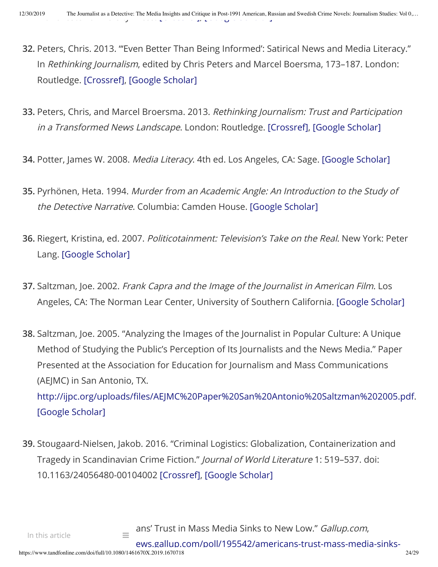- **32.** Peters, Chris. 2013. "'Even Better Than Being Informed': Satirical News and Media Literacy." In Rethinking Journalism, edited by Chris Peters and Marcel Boersma, 173–187. London: Routledge. [\[Crossref\],](https://www.tandfonline.com/servlet/linkout?suffix=CIT0031&dbid=16&doi=10.1080%2F1461670X.2019.1670718&key=10.4324%2F9780203102688) [Google [Scholar\]](http://scholar.google.com/scholar_lookup?hl=en&publication_year=2013&pages=173-187&author=Chris.+Peters&title=Rethinking+Journalism)
- **33.** Peters, Chris, and Marcel Broersma. 2013. Rethinking Journalism: Trust and Participation in a Transformed News Landscape. London: Routledge. [\[Crossref\]](https://www.tandfonline.com/servlet/linkout?suffix=CIT0032&dbid=16&doi=10.1080%2F1461670X.2019.1670718&key=10.4324%2F9780203102688), [Google [Scholar\]](http://scholar.google.com/scholar_lookup?hl=en&publication_year=2013&author=Chris+Peters&author=Marcel+Broersma&title=Rethinking+Journalism%3A+Trust+and+Participation+in+a+Transformed+News+Landscape)
- **34.** Potter, James W. 2008. Media Literacy. 4th ed. Los Angeles, CA: Sage. [Google [Scholar\]](http://scholar.google.com/scholar_lookup?hl=en&publication_year=2008&author=James+W.+Potter&title=Media+Literacy)
- **35.** Pyrhönen, Heta. 1994. Murder from an Academic Angle: An Introduction to the Study of the Detective Narrative. Columbia: Camden House. [Google [Scholar\]](http://scholar.google.com/scholar_lookup?hl=en&publication_year=1994&author=Heta.+Pyrh%C3%B6nen&title=Murder+from+an+Academic+Angle%3A+An+Introduction+to+the+Study+of+the+Detective+Narrative)
- **36.** Riegert, Kristina, ed. 2007. Politicotainment: Television's Take on the Real. New York: Peter Lang. [Google [Scholar\]](http://scholar.google.com/scholar_lookup?hl=en&publication_year=2007&author=Kristina+Riegert&title=Politicotainment%3A+Television%E2%80%99s+Take+on+the+Real)
- **37.** Saltzman, Joe. 2002. Frank Capra and the Image of the Journalist in American Film. Los Angeles, CA: The Norman Lear Center, University of Southern California. [Google [Scholar\]](http://scholar.google.com/scholar_lookup?hl=en&publication_year=2002&author=Joe.+Saltzman&title=Frank+Capra+and+the+Image+of+the+Journalist+in+American+Film)
- **38.** Saltzman, Joe. 2005. "Analyzing the Images of the Journalist in Popular Culture: A Unique Method of Studying the Public's Perception of Its Journalists and the News Media." Paper Presented at the Association for Education for Journalism and Mass Communications (AEJMC) in San Antonio, TX. http://ijpc.org/uploads/files/AEJMC%20Paper%20San%20Antonio%20Saltzman%202005.pdf.

[Google [Scholar\]](http://scholar.google.com/scholar?hl=en&q=Saltzman%2C+Joe.+2005.+%E2%80%9CAnalyzing+the+Images+of+the+Journalist+in+Popular+Culture%3A+A+Unique+Method+of+Studying+the+Public%E2%80%99s+Perception+of+Its+Journalists+and+the+News+Media.%E2%80%9D+Paper+Presented+at+the+Association+for+Education+for+Journalism+and+Mass+Communications+%28AEJMC%29+in+San+Antonio%2C+TX.+http%3A%2F%2Fijpc.org%2Fuploads%2Ffiles%2FAEJMC%2520Paper%2520San%2520Antonio%2520Saltzman%25202005.pdf.)

**39.** Stougaard-Nielsen, Jakob. 2016. "Criminal Logistics: Globalization, Containerization and Tragedy in Scandinavian Crime Fiction." Journal of World Literature 1: 519–537. doi: 10.1163/24056480-00104002 [\[Crossref\]](https://www.tandfonline.com/servlet/linkout?suffix=CIT0038&dbid=16&doi=10.1080%2F1461670X.2019.1670718&key=10.1163%2F24056480-00104002), [Google [Scholar\]](http://scholar.google.com/scholar_lookup?hl=en&publication_year=2016&pages=519-537&author=Jakob.+Stougaard-Nielsen&title=Criminal+Logistics%3A+Globalization%2C+Containerization+and+Tragedy+in+Scandinavian+Crime+Fiction)

 $\equiv$  ans' Trust in Mass Media Sinks to New Low." *Gallup.com*,

ews.gallup.com/poll/195542/americans-trust-mass-media-sinks-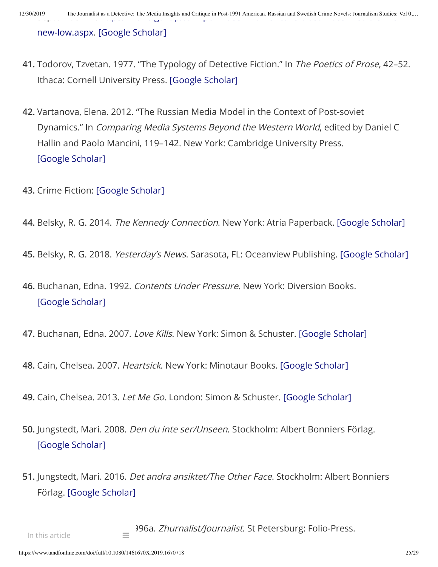12/30/2019 The Journalist as a Detective: The Media Insights and Critique in Post-1991 American, Russian and Swedish Crime Novels: Journalism Studies: Vol 0,...

[new-low.aspx. \[Google](https://news.gallup.com/poll/195542/americans-trust-mass-media-sinks-new-low.aspx) [Scholar\]](http://scholar.google.com/scholar?hl=en&q=Swift%2C+Art.+2016.+%E2%80%9CAmericans%E2%80%99+Trust+in+Mass+Media+Sinks+to+New+Low.%E2%80%9D+Gallup.com%2C+September+14.+https%3A%2F%2Fnews.gallup.com%2Fpoll%2F195542%2Famericans-trust-mass-media-sinks-new-low.aspx.)

- **41.** Todorov, Tzvetan. 1977. "The Typology of Detective Fiction." In The Poetics of Prose, 42–52. Ithaca: Cornell University Press. [Google [Scholar\]](http://scholar.google.com/scholar_lookup?hl=en&publication_year=1977&pages=42-52&author=Tzvetan.+Todorov&title=The+Poetics+of+Prose)
- **42.** Vartanova, Elena. 2012. "The Russian Media Model in the Context of Post-soviet Dynamics." In Comparing Media Systems Beyond the Western World, edited by Daniel C Hallin and Paolo Mancini, 119–142. New York: Cambridge University Press. [Google [Scholar\]](http://scholar.google.com/scholar_lookup?hl=en&publication_year=2012&pages=119-142&author=Elena.+Vartanova&title=Comparing+Media+Systems+Beyond+the+Western+World)
- **43.** Crime Fiction: [Google [Scholar\]](http://scholar.google.com/scholar?hl=en&q=Crime+Fiction%3A)
- **44.** Belsky, R. G. 2014. The Kennedy Connection. New York: Atria Paperback. [Google [Scholar\]](http://scholar.google.com/scholar_lookup?hl=en&publication_year=2014&author=R.+G.+Belsky&title=The+Kennedy+Connection)
- **45.** Belsky, R. G. 2018. Yesterday's News. Sarasota, FL: Oceanview Publishing. [Google [Scholar\]](http://scholar.google.com/scholar_lookup?hl=en&publication_year=2018&author=R.+G.+Belsky&title=Yesterday%E2%80%99s+News)
- **46.** Buchanan, Edna. 1992. Contents Under Pressure. New York: Diversion Books. [Google [Scholar\]](http://scholar.google.com/scholar_lookup?hl=en&publication_year=1992&author=Edna.+Buchanan&title=Contents+Under+Pressure)
- **47.** Buchanan, Edna. 2007. Love Kills. New York: Simon & Schuster. [Google [Scholar\]](http://scholar.google.com/scholar_lookup?hl=en&publication_year=2007&author=Edna.+Buchanan&title=Love+Kills)
- **48.** Cain, Chelsea. 2007. Heartsick. New York: Minotaur Books. [Google [Scholar\]](http://scholar.google.com/scholar_lookup?hl=en&publication_year=2007&author=Chelsea.+Cain&title=Heartsick)
- **49.** Cain, Chelsea. 2013. Let Me Go. London: Simon & Schuster. [Google [Scholar\]](http://scholar.google.com/scholar_lookup?hl=en&publication_year=2013&author=Chelsea.+Cain&title=Let+Me+Go)
- **50.** Jungstedt, Mari. 2008. Den du inte ser/Unseen. Stockholm: Albert Bonniers Förlag. [Google [Scholar\]](http://scholar.google.com/scholar_lookup?hl=en&publication_year=2008&author=Mari.+Jungstedt&title=Den+du+inte+ser%2FUnseen)
- **51.** Jungstedt, Mari. 2016. Det andra ansiktet/The Other Face. Stockholm: Albert Bonniers Förlag. [Google [Scholar\]](http://scholar.google.com/scholar_lookup?hl=en&publication_year=2016&author=Mari.+Jungstedt&title=Det+andra+ansiktet%2FThe+Other+Face)

396a. *Zhurnalist/Journalist*. St Petersburg: Folio-Press.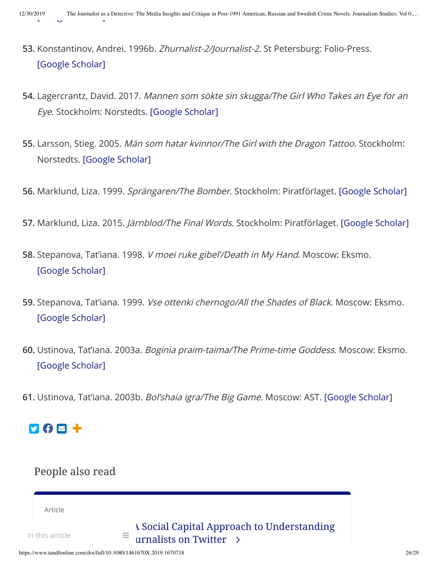- **53.** Konstantinov, Andrei. 1996b. Zhurnalist-2/Journalist-2. St Petersburg: Folio-Press. [Google [Scholar\]](http://scholar.google.com/scholar_lookup?hl=en&publication_year=1996b&author=Andrei.+Konstantinov&title=Zhurnalist-2%2FJournalist-2)
- **54.** Lagercrantz, David. 2017. Mannen som sökte sin skugga/The Girl Who Takes an Eye for an Eye. Stockholm: Norstedts. [Google [Scholar\]](http://scholar.google.com/scholar_lookup?hl=en&publication_year=2017&author=David.+Lagercrantz&title=Mannen+som+s%C3%B6kte+sin+skugga%2FThe+Girl+Who+Takes+an+Eye+for+an+Eye)
- **55.** Larsson, Stieg. 2005. Män som hatar kvinnor/The Girl with the Dragon Tattoo. Stockholm: Norstedts. [Google [Scholar\]](http://scholar.google.com/scholar_lookup?hl=en&publication_year=2005&author=Stieg.+Larsson&title=M%C3%A4n+som+hatar+kvinnor%2FThe+Girl+with+the+Dragon+Tattoo)
- **56.** Marklund, Liza. 1999. Sprängaren/The Bomber. Stockholm: Piratförlaget. [Google [Scholar\]](http://scholar.google.com/scholar_lookup?hl=en&publication_year=1999&author=Liza.+Marklund&title=Spr%C3%A4ngaren%2FThe+Bomber)
- **57.** Marklund, Liza. 2015. Järnblod/The Final Words. Stockholm: Piratförlaget. [Google [Scholar\]](http://scholar.google.com/scholar_lookup?hl=en&publication_year=2015&author=Liza.+Marklund&title=J%C3%A4rnblod%2FThe+Final+Words)
- **58.** Stepanova, Tat'iana. 1998. V moei ruke gibel'/Death in My Hand. Moscow: Eksmo. [Google [Scholar\]](http://scholar.google.com/scholar_lookup?hl=en&publication_year=1998&author=Tat%E2%80%99iana.+Stepanova&title=V+moei+ruke+gibel%E2%80%99%2FDeath+in+My+Hand)
- **59.** Stepanova, Tat'iana. 1999. Vse ottenki chernogo/All the Shades of Black. Moscow: Eksmo. [Google [Scholar\]](http://scholar.google.com/scholar_lookup?hl=en&publication_year=1999&author=Tat%E2%80%99iana.+Stepanova&title=Vse+ottenki+chernogo%2FAll+the+Shades+of+Black)
- **60.** Ustinova, Tat'iana. 2003a. Boginia praim-taima/The Prime-time Goddess. Moscow: Eksmo. [Google [Scholar\]](http://scholar.google.com/scholar_lookup?hl=en&publication_year=2003a&author=Tat%E2%80%99iana.+Ustinova&title=Boginia+praim-taima%2FThe+Prime-time+Goddess)
- **61.** Ustinova, Tat'iana. 2003b. Bol'shaia igra/The Big Game. Moscow: AST. [Google [Scholar\]](http://scholar.google.com/scholar_lookup?hl=en&publication_year=2003b&author=Tat%E2%80%99iana.+Ustinova&title=Bol%E2%80%99shaia+igra%2FThe+Big+Game)

## 202+

#### People also read

Article

In this article

**A [Social Capital Approach](https://www.tandfonline.com/doi/full/10.1080/1461670X.2019.1670091?src=recsys) to Understanding**  $\equiv$  urnalists on Twitter  $\rightarrow$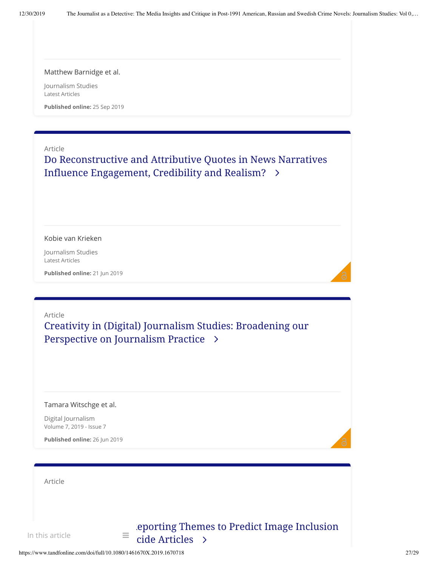#### Matthew [Barnidge](https://www.tandfonline.com/author/Barnidge%2C+Matthew) et al.

Journalism Studies Latest Articles

**Published online:** 25 Sep 2019

#### Article

Do [Reconstructive](https://www.tandfonline.com/doi/full/10.1080/1461670X.2019.1632735?src=recsys) and Attributive Quotes in News Narratives Influence Engagement, Credibility and Realism?

#### Kobie van [Krieken](https://www.tandfonline.com/author/van+Krieken%2C+Kobie)

Journalism Studies Latest Articles

**Published online:** 21 Jun 2019

#### Article Creativity in (Digital) Journalism Studies: Broadening our Perspective on [Journalism Practice](https://www.tandfonline.com/doi/full/10.1080/21670811.2019.1609373?src=recsys)

#### Tamara [Witschge](https://www.tandfonline.com/author/Witschge%2C+Tamara) et al.

Digital Journalism Volume 7, 2019 - Issue 7

**Published online:** 26 Jun 2019

| Article         |                                                                      |
|-----------------|----------------------------------------------------------------------|
|                 |                                                                      |
| In this article | eporting Themes to Predict Image Inclusion<br>$=$<br>cide Articles > |

ට -

ට -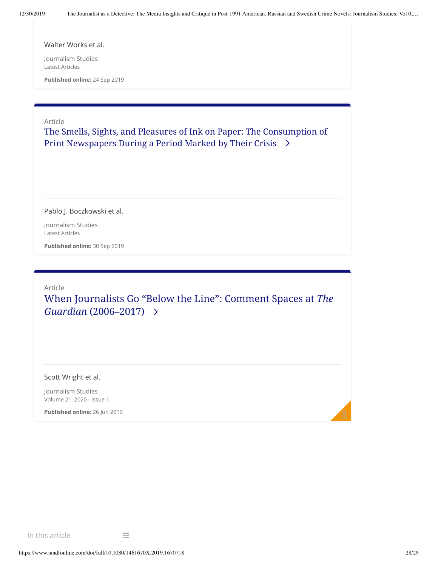[Walter](https://www.tandfonline.com/author/Works%2C+Walter) Works et al.

Journalism Studies Latest Articles

**Published online:** 24 Sep 2019

Article

The Smells, Sights, [and Pleasures](https://www.tandfonline.com/doi/full/10.1080/1461670X.2019.1670092?src=recsys) of Ink on Paper: The Consumption of Print Newspapers During a Period Marked by Their Crisis

Pablo [J. Boczkowski](https://www.tandfonline.com/author/Boczkowski%2C+Pablo+J) et al.

Journalism Studies Latest Articles

**Published online:** 30 Sep 2019

Article When Journalists Go "Below the Line": Comment Spaces at *The Guardian* [\(2006–2017\)](https://www.tandfonline.com/doi/full/10.1080/1461670X.2019.1632733?src=recsys)

Scott [Wright](https://www.tandfonline.com/author/Wright%2C+Scott) et al.

Journalism Studies Volume 21, 2020 - Issue 1

**Published online:** 26 Jun 2019

In this article  $\equiv$ 

ට -